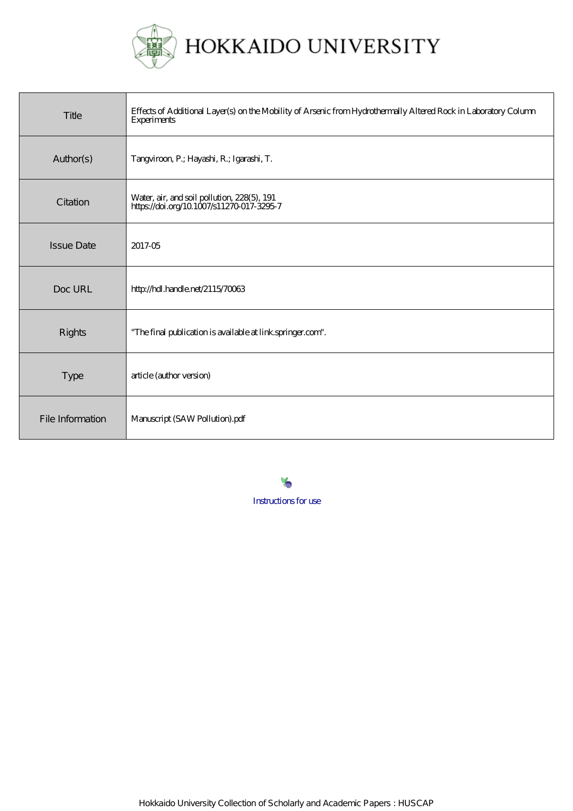

| Title             | Effects of Additional Layer(s) on the Mobility of Arsenic from Hydrothermally Altered Rock in Laboratory Column<br><b>Experiments</b> |
|-------------------|---------------------------------------------------------------------------------------------------------------------------------------|
| Author(s)         | Tangviroon, P.; Hayashi, R.; Igarashi, T.                                                                                             |
| Citation          | Water, air, and soil pollution, 228(5), 191<br>https://doi.org/10.1007/s11270-017-3295-7                                              |
| <b>Issue Date</b> | 2017-05                                                                                                                               |
| Doc URL           | http://hdl.handle.net/2115/70063                                                                                                      |
| <b>Rights</b>     | "The final publication is available at link springer.com".                                                                            |
| <b>Type</b>       | article (author version)                                                                                                              |
| File Information  | Manuscript (SAW Pollution).pdf                                                                                                        |

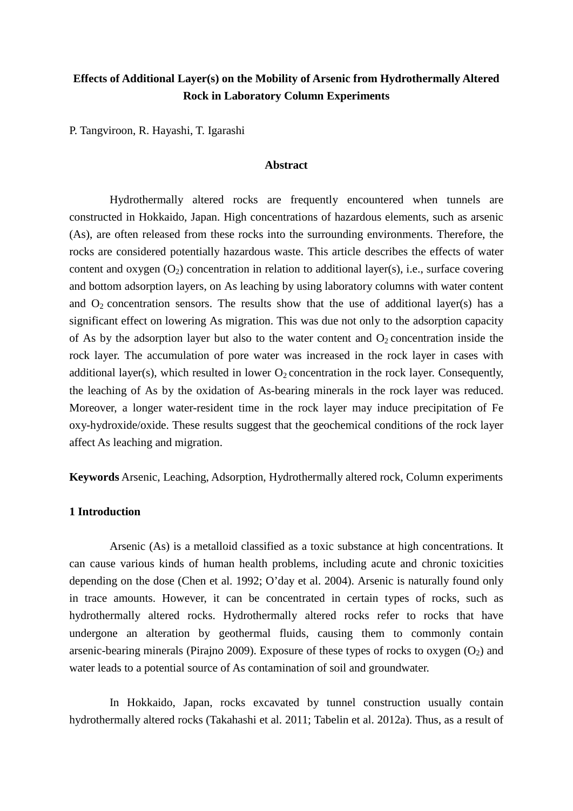# **Effects of Additional Layer(s) on the Mobility of Arsenic from Hydrothermally Altered Rock in Laboratory Column Experiments**

P. Tangviroon, R. Hayashi, T. Igarashi

### **Abstract**

Hydrothermally altered rocks are frequently encountered when tunnels are constructed in Hokkaido, Japan. High concentrations of hazardous elements, such as arsenic (As), are often released from these rocks into the surrounding environments. Therefore, the rocks are considered potentially hazardous waste. This article describes the effects of water content and oxygen  $(O_2)$  concentration in relation to additional layer(s), i.e., surface covering and bottom adsorption layers, on As leaching by using laboratory columns with water content and  $O_2$  concentration sensors. The results show that the use of additional layer(s) has a significant effect on lowering As migration. This was due not only to the adsorption capacity of As by the adsorption layer but also to the water content and  $O_2$  concentration inside the rock layer. The accumulation of pore water was increased in the rock layer in cases with additional layer(s), which resulted in lower  $O_2$  concentration in the rock layer. Consequently, the leaching of As by the oxidation of As-bearing minerals in the rock layer was reduced. Moreover, a longer water-resident time in the rock layer may induce precipitation of Fe oxy-hydroxide/oxide. These results suggest that the geochemical conditions of the rock layer affect As leaching and migration.

**Keywords** Arsenic, Leaching, Adsorption, Hydrothermally altered rock, Column experiments

# **1 Introduction**

Arsenic (As) is a metalloid classified as a toxic substance at high concentrations. It can cause various kinds of human health problems, including acute and chronic toxicities depending on the dose (Chen et al. 1992; O'day et al. 2004). Arsenic is naturally found only in trace amounts. However, it can be concentrated in certain types of rocks, such as hydrothermally altered rocks. Hydrothermally altered rocks refer to rocks that have undergone an alteration by geothermal fluids, causing them to commonly contain arsenic-bearing minerals (Pirajno 2009). Exposure of these types of rocks to oxygen  $(O_2)$  and water leads to a potential source of As contamination of soil and groundwater.

In Hokkaido, Japan, rocks excavated by tunnel construction usually contain hydrothermally altered rocks (Takahashi et al. 2011; Tabelin et al. 2012a). Thus, as a result of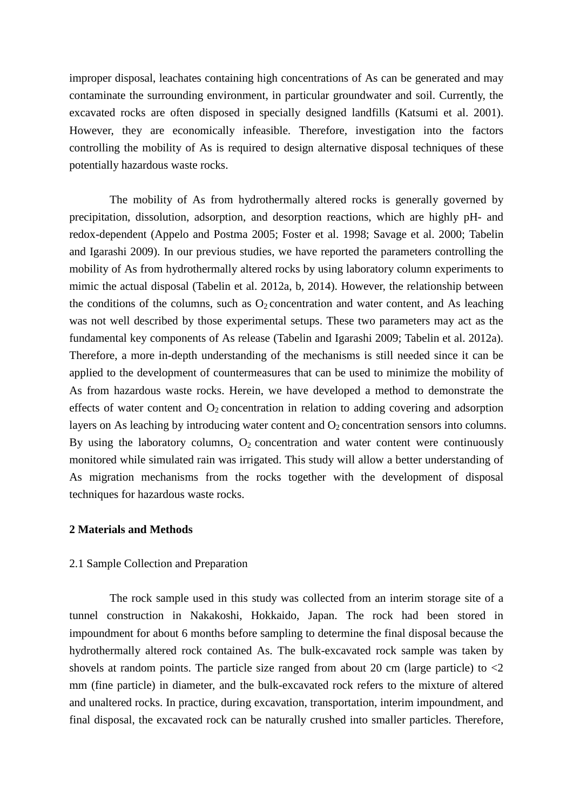improper disposal, leachates containing high concentrations of As can be generated and may contaminate the surrounding environment, in particular groundwater and soil. Currently, the excavated rocks are often disposed in specially designed landfills (Katsumi et al. 2001). However, they are economically infeasible. Therefore, investigation into the factors controlling the mobility of As is required to design alternative disposal techniques of these potentially hazardous waste rocks.

The mobility of As from hydrothermally altered rocks is generally governed by precipitation, dissolution, adsorption, and desorption reactions, which are highly pH- and redox-dependent (Appelo and Postma 2005; Foster et al. 1998; Savage et al. 2000; Tabelin and Igarashi 2009). In our previous studies, we have reported the parameters controlling the mobility of As from hydrothermally altered rocks by using laboratory column experiments to mimic the actual disposal (Tabelin et al. 2012a, b, 2014). However, the relationship between the conditions of the columns, such as  $O_2$  concentration and water content, and As leaching was not well described by those experimental setups. These two parameters may act as the fundamental key components of As release (Tabelin and Igarashi 2009; Tabelin et al. 2012a). Therefore, a more in-depth understanding of the mechanisms is still needed since it can be applied to the development of countermeasures that can be used to minimize the mobility of As from hazardous waste rocks. Herein, we have developed a method to demonstrate the effects of water content and  $O_2$  concentration in relation to adding covering and adsorption layers on As leaching by introducing water content and  $O<sub>2</sub>$  concentration sensors into columns. By using the laboratory columns,  $O_2$  concentration and water content were continuously monitored while simulated rain was irrigated. This study will allow a better understanding of As migration mechanisms from the rocks together with the development of disposal techniques for hazardous waste rocks.

### **2 Materials and Methods**

#### 2.1 Sample Collection and Preparation

The rock sample used in this study was collected from an interim storage site of a tunnel construction in Nakakoshi, Hokkaido, Japan. The rock had been stored in impoundment for about 6 months before sampling to determine the final disposal because the hydrothermally altered rock contained As. The bulk-excavated rock sample was taken by shovels at random points. The particle size ranged from about 20 cm (large particle) to  $\langle 2 \rangle$ mm (fine particle) in diameter, and the bulk-excavated rock refers to the mixture of altered and unaltered rocks. In practice, during excavation, transportation, interim impoundment, and final disposal, the excavated rock can be naturally crushed into smaller particles. Therefore,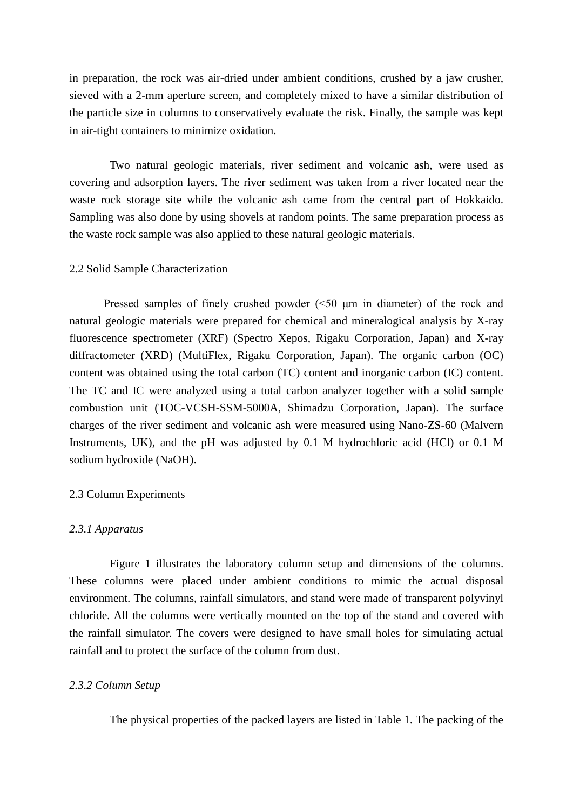in preparation, the rock was air-dried under ambient conditions, crushed by a jaw crusher, sieved with a 2-mm aperture screen, and completely mixed to have a similar distribution of the particle size in columns to conservatively evaluate the risk. Finally, the sample was kept in air-tight containers to minimize oxidation.

Two natural geologic materials, river sediment and volcanic ash, were used as covering and adsorption layers. The river sediment was taken from a river located near the waste rock storage site while the volcanic ash came from the central part of Hokkaido. Sampling was also done by using shovels at random points. The same preparation process as the waste rock sample was also applied to these natural geologic materials.

### 2.2 Solid Sample Characterization

Pressed samples of finely crushed powder (<50 μm in diameter) of the rock and natural geologic materials were prepared for chemical and mineralogical analysis by X-ray fluorescence spectrometer (XRF) (Spectro Xepos, Rigaku Corporation, Japan) and X-ray diffractometer (XRD) (MultiFlex, Rigaku Corporation, Japan). The organic carbon (OC) content was obtained using the total carbon (TC) content and inorganic carbon (IC) content. The TC and IC were analyzed using a total carbon analyzer together with a solid sample combustion unit (TOC-VCSH-SSM-5000A, Shimadzu Corporation, Japan). The surface charges of the river sediment and volcanic ash were measured using Nano-ZS-60 (Malvern Instruments, UK), and the pH was adjusted by 0.1 M hydrochloric acid (HCl) or 0.1 M sodium hydroxide (NaOH).

#### 2.3 Column Experiments

### *2.3.1 Apparatus*

Figure 1 illustrates the laboratory column setup and dimensions of the columns. These columns were placed under ambient conditions to mimic the actual disposal environment. The columns, rainfall simulators, and stand were made of transparent polyvinyl chloride. All the columns were vertically mounted on the top of the stand and covered with the rainfall simulator. The covers were designed to have small holes for simulating actual rainfall and to protect the surface of the column from dust.

# *2.3.2 Column Setup*

The physical properties of the packed layers are listed in Table 1. The packing of the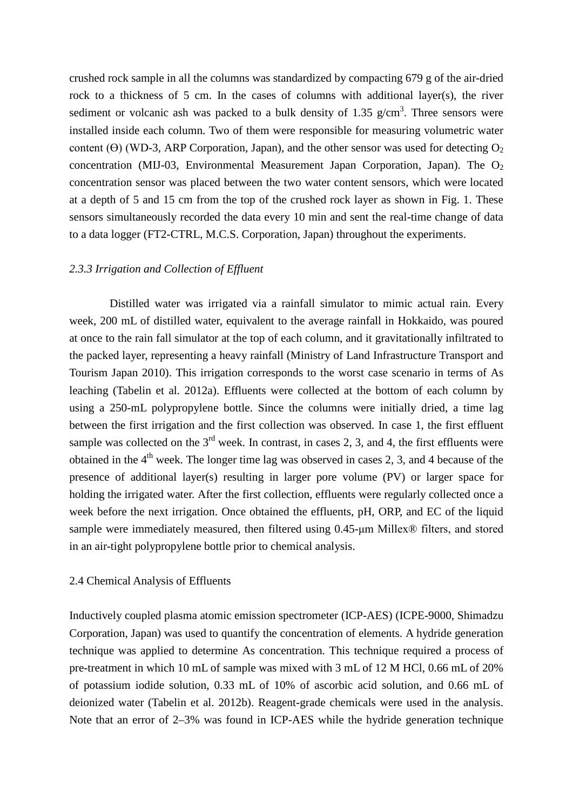crushed rock sample in all the columns was standardized by compacting 679 g of the air-dried rock to a thickness of 5 cm. In the cases of columns with additional layer(s), the river sediment or volcanic ash was packed to a bulk density of 1.35  $g/cm<sup>3</sup>$ . Three sensors were installed inside each column. Two of them were responsible for measuring volumetric water content ( $\Theta$ ) (WD-3, ARP Corporation, Japan), and the other sensor was used for detecting  $O_2$ concentration (MIJ-03, Environmental Measurement Japan Corporation, Japan). The  $O<sub>2</sub>$ concentration sensor was placed between the two water content sensors, which were located at a depth of 5 and 15 cm from the top of the crushed rock layer as shown in Fig. 1. These sensors simultaneously recorded the data every 10 min and sent the real-time change of data to a data logger (FT2-CTRL, M.C.S. Corporation, Japan) throughout the experiments.

# *2.3.3 Irrigation and Collection of Effluent*

Distilled water was irrigated via a rainfall simulator to mimic actual rain. Every week, 200 mL of distilled water, equivalent to the average rainfall in Hokkaido, was poured at once to the rain fall simulator at the top of each column, and it gravitationally infiltrated to the packed layer, representing a heavy rainfall (Ministry of Land Infrastructure Transport and Tourism Japan 2010). This irrigation corresponds to the worst case scenario in terms of As leaching (Tabelin et al. 2012a). Effluents were collected at the bottom of each column by using a 250-mL polypropylene bottle. Since the columns were initially dried, a time lag between the first irrigation and the first collection was observed. In case 1, the first effluent sample was collected on the  $3<sup>rd</sup>$  week. In contrast, in cases 2, 3, and 4, the first effluents were obtained in the  $4<sup>th</sup>$  week. The longer time lag was observed in cases 2, 3, and 4 because of the presence of additional layer(s) resulting in larger pore volume (PV) or larger space for holding the irrigated water. After the first collection, effluents were regularly collected once a week before the next irrigation. Once obtained the effluents, pH, ORP, and EC of the liquid sample were immediately measured, then filtered using 0.45-μm Millex® filters, and stored in an air-tight polypropylene bottle prior to chemical analysis.

### 2.4 Chemical Analysis of Effluents

Inductively coupled plasma atomic emission spectrometer (ICP-AES) (ICPE-9000, Shimadzu Corporation, Japan) was used to quantify the concentration of elements. A hydride generation technique was applied to determine As concentration. This technique required a process of pre-treatment in which 10 mL of sample was mixed with 3 mL of 12 M HCl, 0.66 mL of 20% of potassium iodide solution, 0.33 mL of 10% of ascorbic acid solution, and 0.66 mL of deionized water (Tabelin et al. 2012b). Reagent-grade chemicals were used in the analysis. Note that an error of 2–3% was found in ICP-AES while the hydride generation technique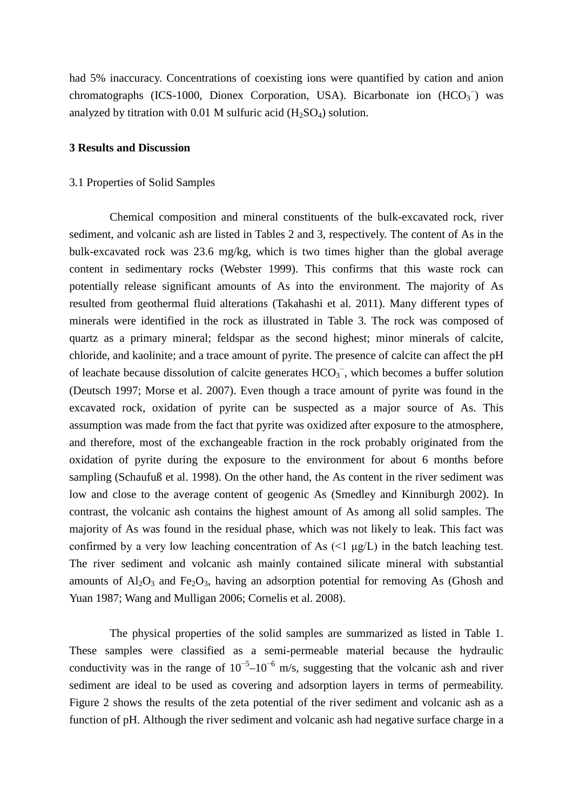had 5% inaccuracy. Concentrations of coexisting ions were quantified by cation and anion chromatographs (ICS-1000, Dionex Corporation, USA). Bicarbonate ion  $(HCO<sub>3</sub>)$  was analyzed by titration with 0.01 M sulfuric acid  $(H_2SO_4)$  solution.

#### **3 Results and Discussion**

#### 3.1 Properties of Solid Samples

Chemical composition and mineral constituents of the bulk-excavated rock, river sediment, and volcanic ash are listed in Tables 2 and 3, respectively. The content of As in the bulk-excavated rock was 23.6 mg/kg, which is two times higher than the global average content in sedimentary rocks (Webster 1999). This confirms that this waste rock can potentially release significant amounts of As into the environment. The majority of As resulted from geothermal fluid alterations (Takahashi et al. 2011). Many different types of minerals were identified in the rock as illustrated in Table 3. The rock was composed of quartz as a primary mineral; feldspar as the second highest; minor minerals of calcite, chloride, and kaolinite; and a trace amount of pyrite. The presence of calcite can affect the pH of leachate because dissolution of calcite generates  $HCO_3^-$ , which becomes a buffer solution (Deutsch 1997; Morse et al. 2007). Even though a trace amount of pyrite was found in the excavated rock, oxidation of pyrite can be suspected as a major source of As. This assumption was made from the fact that pyrite was oxidized after exposure to the atmosphere, and therefore, most of the exchangeable fraction in the rock probably originated from the oxidation of pyrite during the exposure to the environment for about 6 months before sampling (Schaufuß et al. 1998). On the other hand, the As content in the river sediment was low and close to the average content of geogenic As (Smedley and Kinniburgh 2002). In contrast, the volcanic ash contains the highest amount of As among all solid samples. The majority of As was found in the residual phase, which was not likely to leak. This fact was confirmed by a very low leaching concentration of As  $(\leq 1 \mu g/L)$  in the batch leaching test. The river sediment and volcanic ash mainly contained silicate mineral with substantial amounts of  $A<sub>12</sub>O<sub>3</sub>$  and Fe<sub>2</sub>O<sub>3</sub>, having an adsorption potential for removing As (Ghosh and Yuan 1987; Wang and Mulligan 2006; Cornelis et al. 2008).

The physical properties of the solid samples are summarized as listed in Table 1. These samples were classified as a semi-permeable material because the hydraulic conductivity was in the range of  $10^{-5}$ – $10^{-6}$  m/s, suggesting that the volcanic ash and river sediment are ideal to be used as covering and adsorption layers in terms of permeability. Figure 2 shows the results of the zeta potential of the river sediment and volcanic ash as a function of pH. Although the river sediment and volcanic ash had negative surface charge in a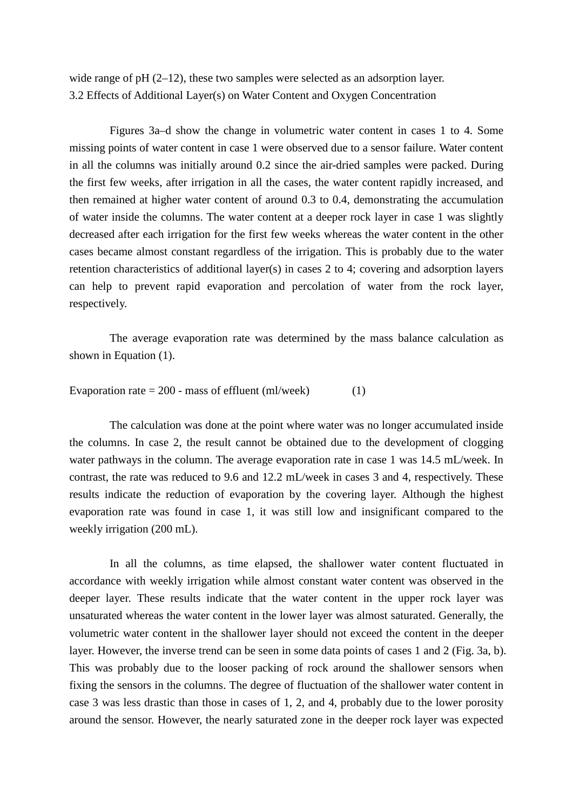wide range of pH (2–12), these two samples were selected as an adsorption layer. 3.2 Effects of Additional Layer(s) on Water Content and Oxygen Concentration

Figures 3a–d show the change in volumetric water content in cases 1 to 4. Some missing points of water content in case 1 were observed due to a sensor failure. Water content in all the columns was initially around 0.2 since the air-dried samples were packed. During the first few weeks, after irrigation in all the cases, the water content rapidly increased, and then remained at higher water content of around 0.3 to 0.4, demonstrating the accumulation of water inside the columns. The water content at a deeper rock layer in case 1 was slightly decreased after each irrigation for the first few weeks whereas the water content in the other cases became almost constant regardless of the irrigation. This is probably due to the water retention characteristics of additional layer(s) in cases 2 to 4; covering and adsorption layers can help to prevent rapid evaporation and percolation of water from the rock layer, respectively.

The average evaporation rate was determined by the mass balance calculation as shown in Equation (1).

Evaporation rate  $= 200$  - mass of effluent (ml/week) (1)

The calculation was done at the point where water was no longer accumulated inside the columns. In case 2, the result cannot be obtained due to the development of clogging water pathways in the column. The average evaporation rate in case 1 was 14.5 mL/week. In contrast, the rate was reduced to 9.6 and 12.2 mL/week in cases 3 and 4, respectively. These results indicate the reduction of evaporation by the covering layer. Although the highest evaporation rate was found in case 1, it was still low and insignificant compared to the weekly irrigation (200 mL).

In all the columns, as time elapsed, the shallower water content fluctuated in accordance with weekly irrigation while almost constant water content was observed in the deeper layer. These results indicate that the water content in the upper rock layer was unsaturated whereas the water content in the lower layer was almost saturated. Generally, the volumetric water content in the shallower layer should not exceed the content in the deeper layer. However, the inverse trend can be seen in some data points of cases 1 and 2 (Fig. 3a, b). This was probably due to the looser packing of rock around the shallower sensors when fixing the sensors in the columns. The degree of fluctuation of the shallower water content in case 3 was less drastic than those in cases of 1, 2, and 4, probably due to the lower porosity around the sensor. However, the nearly saturated zone in the deeper rock layer was expected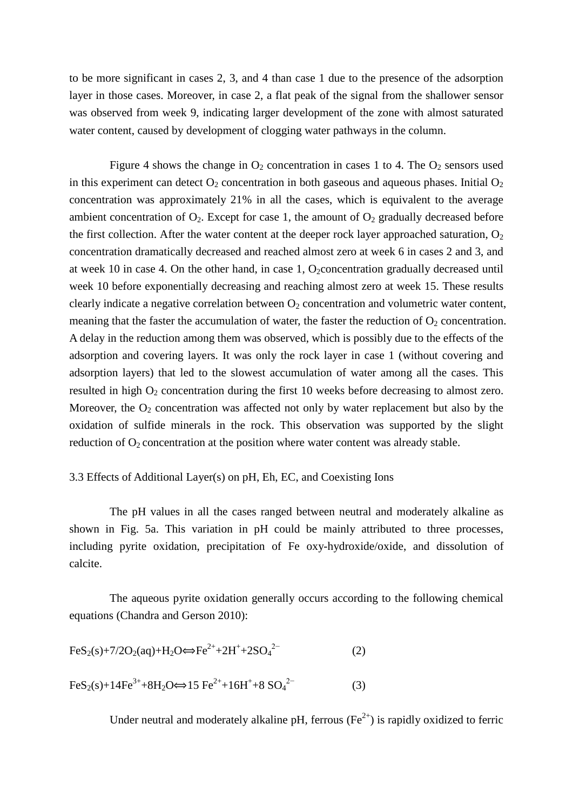to be more significant in cases 2, 3, and 4 than case 1 due to the presence of the adsorption layer in those cases. Moreover, in case 2, a flat peak of the signal from the shallower sensor was observed from week 9, indicating larger development of the zone with almost saturated water content, caused by development of clogging water pathways in the column.

Figure 4 shows the change in  $O_2$  concentration in cases 1 to 4. The  $O_2$  sensors used in this experiment can detect  $O_2$  concentration in both gaseous and aqueous phases. Initial  $O_2$ concentration was approximately 21% in all the cases, which is equivalent to the average ambient concentration of  $O_2$ . Except for case 1, the amount of  $O_2$  gradually decreased before the first collection. After the water content at the deeper rock layer approached saturation,  $O_2$ concentration dramatically decreased and reached almost zero at week 6 in cases 2 and 3, and at week 10 in case 4. On the other hand, in case 1, O<sub>2</sub>concentration gradually decreased until week 10 before exponentially decreasing and reaching almost zero at week 15. These results clearly indicate a negative correlation between  $O_2$  concentration and volumetric water content, meaning that the faster the accumulation of water, the faster the reduction of  $O_2$  concentration. A delay in the reduction among them was observed, which is possibly due to the effects of the adsorption and covering layers. It was only the rock layer in case 1 (without covering and adsorption layers) that led to the slowest accumulation of water among all the cases. This resulted in high  $O_2$  concentration during the first 10 weeks before decreasing to almost zero. Moreover, the  $O_2$  concentration was affected not only by water replacement but also by the oxidation of sulfide minerals in the rock. This observation was supported by the slight reduction of  $O_2$  concentration at the position where water content was already stable.

# 3.3 Effects of Additional Layer(s) on pH, Eh, EC, and Coexisting Ions

The pH values in all the cases ranged between neutral and moderately alkaline as shown in Fig. 5a. This variation in pH could be mainly attributed to three processes, including pyrite oxidation, precipitation of Fe oxy-hydroxide/oxide, and dissolution of calcite.

The aqueous pyrite oxidation generally occurs according to the following chemical equations (Chandra and Gerson 2010):

$$
FeS_{2}(s)+7/2O_{2}(aq)+H_{2}O\Leftrightarrow Fe^{2+}+2H^{+}+2SO_{4}^{2-}
$$
\n
$$
FeS_{2}(s)+14Fe^{3+}+8H_{2}O\Leftrightarrow 15\ Fe^{2+}+16H^{+}+8\ SO_{4}^{2-}
$$
\n(3)

Under neutral and moderately alkaline pH, ferrous ( $Fe<sup>2+</sup>$ ) is rapidly oxidized to ferric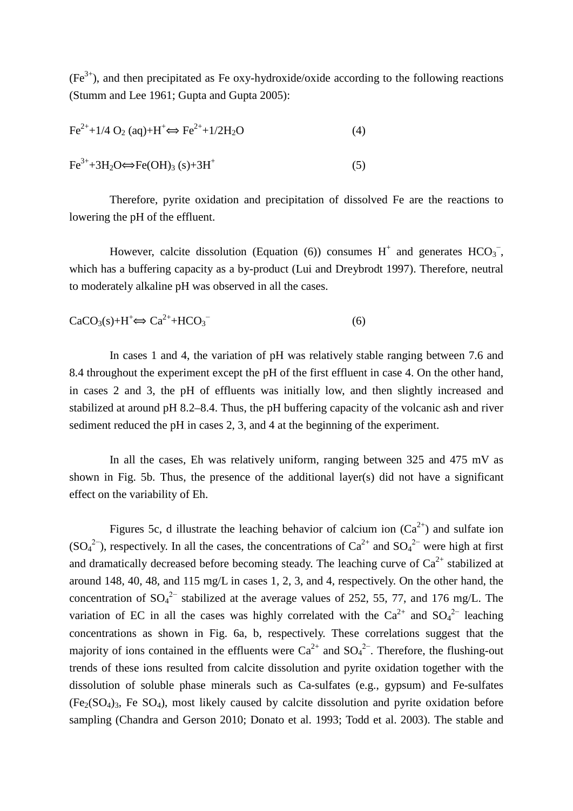$(Fe^{3+})$ , and then precipitated as Fe oxy-hydroxide/oxide according to the following reactions (Stumm and Lee 1961; Gupta and Gupta 2005):

$$
Fe2++1/4 O2 (aq)+H+ \Leftrightarrow Fe2++1/2H2O
$$
 (4)  
Fe<sup>3+</sup>+3H<sub>2</sub>O  $\Leftrightarrow$  Fe(OH)<sub>3</sub> (s)+3H<sup>+</sup> (5)

Therefore, pyrite oxidation and precipitation of dissolved Fe are the reactions to lowering the pH of the effluent.

However, calcite dissolution (Equation (6)) consumes  $H^+$  and generates  $HCO_3^-$ , which has a buffering capacity as a by-product (Lui and Dreybrodt 1997). Therefore, neutral to moderately alkaline pH was observed in all the cases.

$$
CaCO3(s) + H+ \Leftrightarrow Ca2+ + HCO3-
$$
 (6)

In cases 1 and 4, the variation of pH was relatively stable ranging between 7.6 and 8.4 throughout the experiment except the pH of the first effluent in case 4. On the other hand, in cases 2 and 3, the pH of effluents was initially low, and then slightly increased and stabilized at around pH 8.2–8.4. Thus, the pH buffering capacity of the volcanic ash and river sediment reduced the pH in cases 2, 3, and 4 at the beginning of the experiment.

In all the cases, Eh was relatively uniform, ranging between 325 and 475 mV as shown in Fig. 5b. Thus, the presence of the additional layer(s) did not have a significant effect on the variability of Eh.

Figures 5c, d illustrate the leaching behavior of calcium ion  $(Ca^{2+})$  and sulfate ion  $(SO_4^2$ <sup>-</sup>), respectively. In all the cases, the concentrations of  $Ca^{2+}$  and  $SO_4^2$ <sup>-</sup> were high at first and dramatically decreased before becoming steady. The leaching curve of  $Ca^{2+}$  stabilized at around 148, 40, 48, and 115 mg/L in cases 1, 2, 3, and 4, respectively. On the other hand, the concentration of  $SO_4^2$ <sup>-</sup> stabilized at the average values of 252, 55, 77, and 176 mg/L. The variation of EC in all the cases was highly correlated with the  $Ca^{2+}$  and  $SO_4^2$  leaching concentrations as shown in Fig. 6a, b, respectively. These correlations suggest that the majority of ions contained in the effluents were  $Ca^{2+}$  and  $SO_4^{2-}$ . Therefore, the flushing-out trends of these ions resulted from calcite dissolution and pyrite oxidation together with the dissolution of soluble phase minerals such as Ca-sulfates (e.g., gypsum) and Fe-sulfates  $(F_{\mathcal{C}}(SO_4)_{3}$ , Fe  $SO_4$ ), most likely caused by calcite dissolution and pyrite oxidation before sampling (Chandra and Gerson 2010; Donato et al. 1993; Todd et al. 2003). The stable and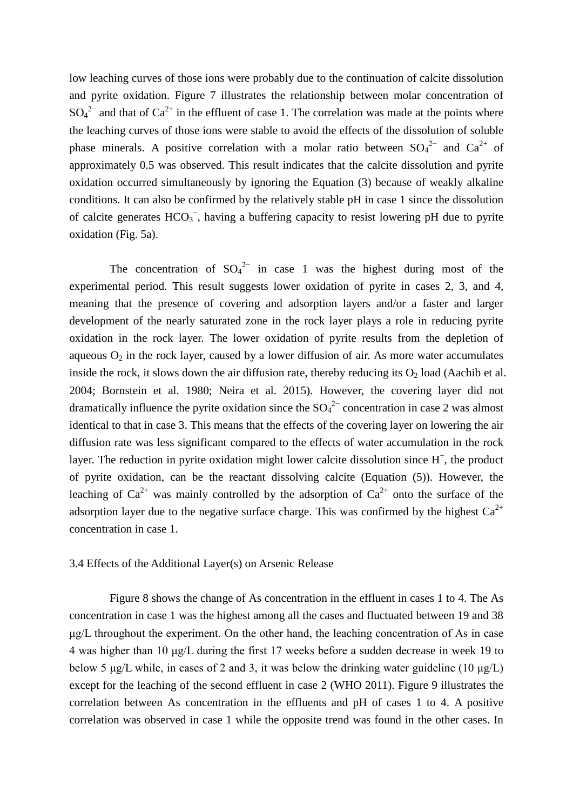low leaching curves of those ions were probably due to the continuation of calcite dissolution and pyrite oxidation. Figure 7 illustrates the relationship between molar concentration of  $SO_4^2$ <sup>-</sup> and that of  $Ca^{2+}$  in the effluent of case 1. The correlation was made at the points where the leaching curves of those ions were stable to avoid the effects of the dissolution of soluble phase minerals. A positive correlation with a molar ratio between  $SO_4^2$  and  $Ca^{2+}$  of approximately 0.5 was observed. This result indicates that the calcite dissolution and pyrite oxidation occurred simultaneously by ignoring the Equation (3) because of weakly alkaline conditions. It can also be confirmed by the relatively stable pH in case 1 since the dissolution of calcite generates  $HCO_3^-$ , having a buffering capacity to resist lowering pH due to pyrite oxidation (Fig. 5a).

The concentration of  $SO_4^2$  in case 1 was the highest during most of the experimental period. This result suggests lower oxidation of pyrite in cases 2, 3, and 4, meaning that the presence of covering and adsorption layers and/or a faster and larger development of the nearly saturated zone in the rock layer plays a role in reducing pyrite oxidation in the rock layer. The lower oxidation of pyrite results from the depletion of aqueous  $O_2$  in the rock layer, caused by a lower diffusion of air. As more water accumulates inside the rock, it slows down the air diffusion rate, thereby reducing its  $O_2$  load (Aachib et al. 2004; Bornstein et al. 1980; Neira et al. 2015). However, the covering layer did not dramatically influence the pyrite oxidation since the  $SO_4^2$  concentration in case 2 was almost identical to that in case 3. This means that the effects of the covering layer on lowering the air diffusion rate was less significant compared to the effects of water accumulation in the rock layer. The reduction in pyrite oxidation might lower calcite dissolution since  $H^+$ , the product of pyrite oxidation, can be the reactant dissolving calcite (Equation (5)). However, the leaching of  $Ca^{2+}$  was mainly controlled by the adsorption of  $Ca^{2+}$  onto the surface of the adsorption layer due to the negative surface charge. This was confirmed by the highest  $Ca^{2+}$ concentration in case 1.

# 3.4 Effects of the Additional Layer(s) on Arsenic Release

Figure 8 shows the change of As concentration in the effluent in cases 1 to 4. The As concentration in case 1 was the highest among all the cases and fluctuated between 19 and 38 μg/L throughout the experiment. On the other hand, the leaching concentration of As in case 4 was higher than 10 μg/L during the first 17 weeks before a sudden decrease in week 19 to below 5 μg/L while, in cases of 2 and 3, it was below the drinking water guideline (10 μg/L) except for the leaching of the second effluent in case 2 (WHO 2011). Figure 9 illustrates the correlation between As concentration in the effluents and pH of cases 1 to 4. A positive correlation was observed in case 1 while the opposite trend was found in the other cases. In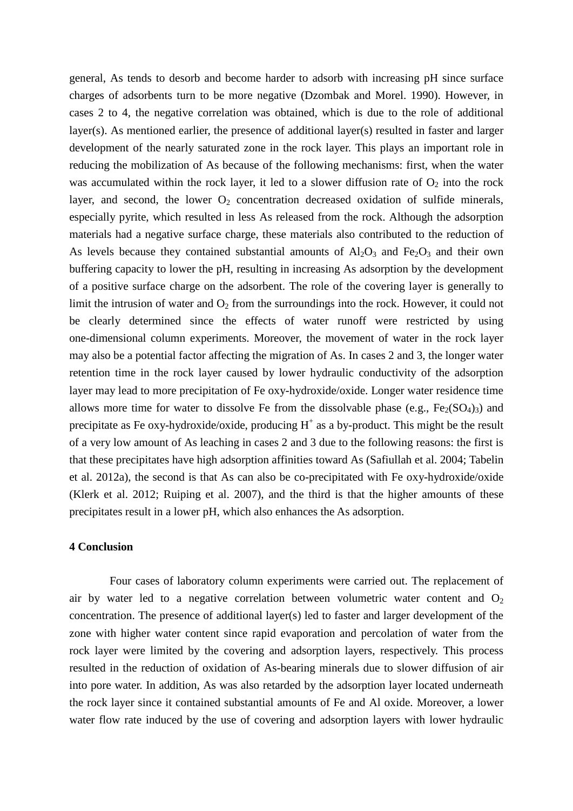general, As tends to desorb and become harder to adsorb with increasing pH since surface charges of adsorbents turn to be more negative (Dzombak and Morel. 1990). However, in cases 2 to 4, the negative correlation was obtained, which is due to the role of additional layer(s). As mentioned earlier, the presence of additional layer(s) resulted in faster and larger development of the nearly saturated zone in the rock layer. This plays an important role in reducing the mobilization of As because of the following mechanisms: first, when the water was accumulated within the rock layer, it led to a slower diffusion rate of  $O_2$  into the rock layer, and second, the lower  $O_2$  concentration decreased oxidation of sulfide minerals, especially pyrite, which resulted in less As released from the rock. Although the adsorption materials had a negative surface charge, these materials also contributed to the reduction of As levels because they contained substantial amounts of  $Al_2O_3$  and  $Fe_2O_3$  and their own buffering capacity to lower the pH, resulting in increasing As adsorption by the development of a positive surface charge on the adsorbent. The role of the covering layer is generally to limit the intrusion of water and  $O_2$  from the surroundings into the rock. However, it could not be clearly determined since the effects of water runoff were restricted by using one-dimensional column experiments. Moreover, the movement of water in the rock layer may also be a potential factor affecting the migration of As. In cases 2 and 3, the longer water retention time in the rock layer caused by lower hydraulic conductivity of the adsorption layer may lead to more precipitation of Fe oxy-hydroxide/oxide. Longer water residence time allows more time for water to dissolve Fe from the dissolvable phase (e.g.,  $Fe<sub>2</sub>(SO<sub>4</sub>)<sub>3</sub>$ ) and precipitate as Fe oxy-hydroxide/oxide, producing  $H^+$  as a by-product. This might be the result of a very low amount of As leaching in cases 2 and 3 due to the following reasons: the first is that these precipitates have high adsorption affinities toward As (Safiullah et al. 2004; Tabelin et al. 2012a), the second is that As can also be co-precipitated with Fe oxy-hydroxide/oxide (Klerk et al. 2012; Ruiping et al. 2007), and the third is that the higher amounts of these precipitates result in a lower pH, which also enhances the As adsorption.

#### **4 Conclusion**

Four cases of laboratory column experiments were carried out. The replacement of air by water led to a negative correlation between volumetric water content and  $O_2$ concentration. The presence of additional layer(s) led to faster and larger development of the zone with higher water content since rapid evaporation and percolation of water from the rock layer were limited by the covering and adsorption layers, respectively. This process resulted in the reduction of oxidation of As-bearing minerals due to slower diffusion of air into pore water. In addition, As was also retarded by the adsorption layer located underneath the rock layer since it contained substantial amounts of Fe and Al oxide. Moreover, a lower water flow rate induced by the use of covering and adsorption layers with lower hydraulic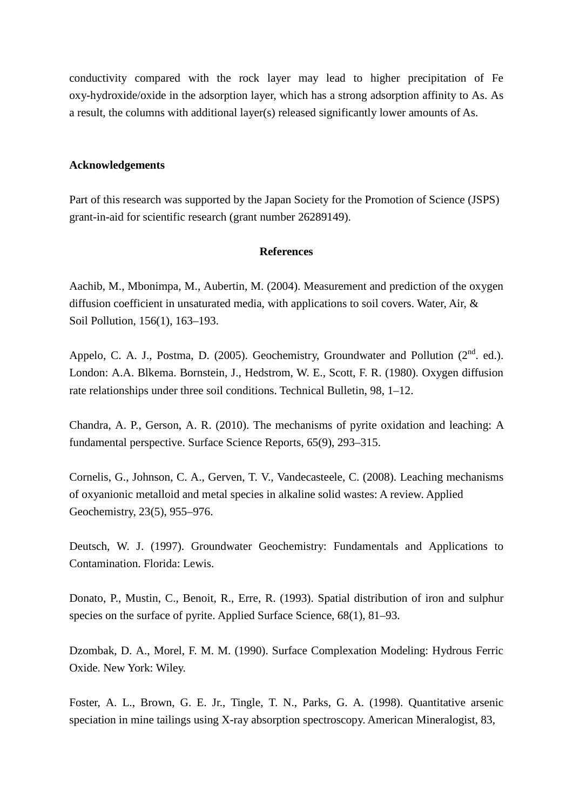conductivity compared with the rock layer may lead to higher precipitation of Fe oxy-hydroxide/oxide in the adsorption layer, which has a strong adsorption affinity to As. As a result, the columns with additional layer(s) released significantly lower amounts of As.

# **Acknowledgements**

Part of this research was supported by the Japan Society for the Promotion of Science (JSPS) grant-in-aid for scientific research (grant number 26289149).

### **References**

Aachib, M., Mbonimpa, M., Aubertin, M. (2004). Measurement and prediction of the oxygen diffusion coefficient in unsaturated media, with applications to soil covers. Water, Air, & Soil Pollution, 156(1), 163–193.

Appelo, C. A. J., Postma, D. (2005). Geochemistry, Groundwater and Pollution ( $2<sup>nd</sup>$ . ed.). London: A.A. Blkema. Bornstein, J., Hedstrom, W. E., Scott, F. R. (1980). Oxygen diffusion rate relationships under three soil conditions. Technical Bulletin, 98, 1–12.

Chandra, A. P., Gerson, A. R. (2010). The mechanisms of pyrite oxidation and leaching: A fundamental perspective. Surface Science Reports, 65(9), 293–315.

Cornelis, G., Johnson, C. A., Gerven, T. V., Vandecasteele, C. (2008). Leaching mechanisms of oxyanionic metalloid and metal species in alkaline solid wastes: A review. Applied Geochemistry, 23(5), 955–976.

Deutsch, W. J. (1997). Groundwater Geochemistry: Fundamentals and Applications to Contamination. Florida: Lewis.

Donato, P., Mustin, C., Benoit, R., Erre, R. (1993). Spatial distribution of iron and sulphur species on the surface of pyrite. Applied Surface Science,  $68(1)$ ,  $81-93$ .

Dzombak, D. A., Morel, F. M. M. (1990). Surface Complexation Modeling: Hydrous Ferric Oxide. New York: Wiley.

Foster, A. L., Brown, G. E. Jr., Tingle, T. N., Parks, G. A. (1998). Quantitative arsenic speciation in mine tailings using X-ray absorption spectroscopy. American Mineralogist, 83,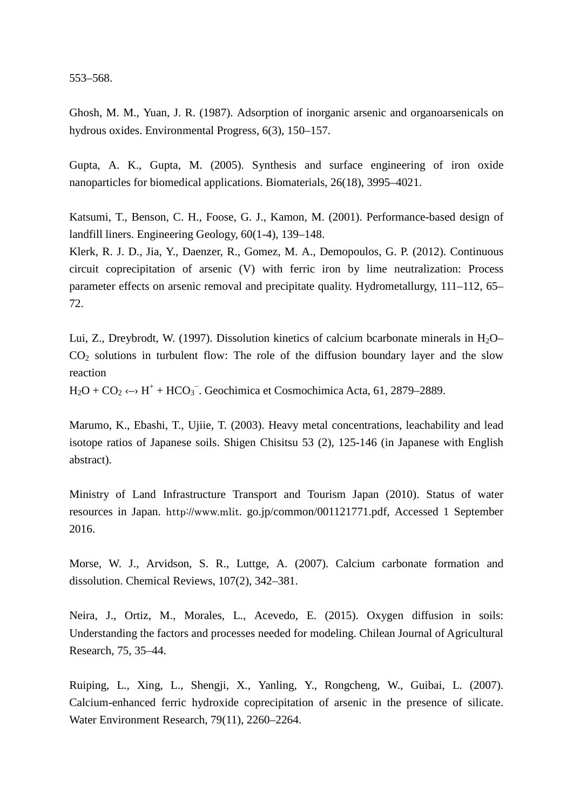553–568.

Ghosh, M. M., Yuan, J. R. (1987). Adsorption of inorganic arsenic and organoarsenicals on hydrous oxides. Environmental Progress, 6(3), 150–157.

Gupta, A. K., Gupta, M. (2005). Synthesis and surface engineering of iron oxide nanoparticles for biomedical applications. Biomaterials, 26(18), 3995–4021.

Katsumi, T., Benson, C. H., Foose, G. J., Kamon, M. (2001). Performance-based design of landfill liners. Engineering Geology, 60(1-4), 139–148.

Klerk, R. J. D., Jia, Y., Daenzer, R., Gomez, M. A., Demopoulos, G. P. (2012). Continuous circuit coprecipitation of arsenic (V) with ferric iron by lime neutralization: Process parameter effects on arsenic removal and precipitate quality. Hydrometallurgy, 111–112, 65– 72.

Lui, Z., Dreybrodt, W. (1997). Dissolution kinetics of calcium bcarbonate minerals in  $H_2O CO<sub>2</sub>$  solutions in turbulent flow: The role of the diffusion boundary layer and the slow reaction

 $H_2O + CO_2 \leftrightarrow H^+ + HCO_3$ . Geochimica et Cosmochimica Acta, 61, 2879–2889.

Marumo, K., Ebashi, T., Ujiie, T. (2003). Heavy metal concentrations, leachability and lead isotope ratios of Japanese soils. Shigen Chisitsu 53 (2), 125-146 (in Japanese with English abstract).

Ministry of Land Infrastructure Transport and Tourism Japan (2010). Status of water resources in Japan. http://www.mlit. go.jp/common/001121771.pdf, Accessed 1 September 2016.

Morse, W. J., Arvidson, S. R., Luttge, A. (2007). Calcium carbonate formation and dissolution. Chemical Reviews, 107(2), 342–381.

Neira, J., Ortiz, M., Morales, L., Acevedo, E. (2015). Oxygen diffusion in soils: Understanding the factors and processes needed for modeling. Chilean Journal of Agricultural Research, 75, 35–44.

Ruiping, L., Xing, L., Shengji, X., Yanling, Y., Rongcheng, W., Guibai, L. (2007). Calcium-enhanced ferric hydroxide coprecipitation of arsenic in the presence of silicate. Water Environment Research, 79(11), 2260–2264.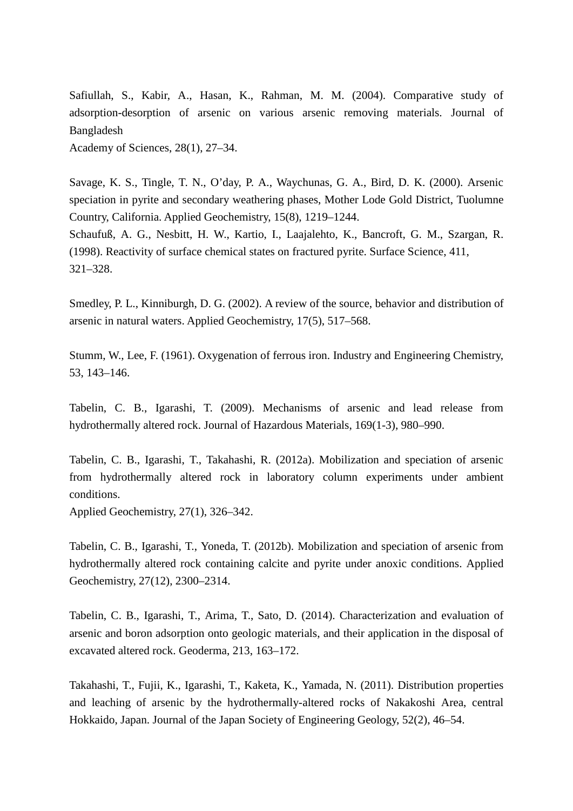Safiullah, S., Kabir, A., Hasan, K., Rahman, M. M. (2004). Comparative study of adsorption-desorption of arsenic on various arsenic removing materials. Journal of Bangladesh Academy of Sciences, 28(1), 27–34.

Savage, K. S., Tingle, T. N., O'day, P. A., Waychunas, G. A., Bird, D. K. (2000). Arsenic speciation in pyrite and secondary weathering phases, Mother Lode Gold District, Tuolumne Country, California. Applied Geochemistry, 15(8), 1219–1244. Schaufuß, A. G., Nesbitt, H. W., Kartio, I., Laajalehto, K., Bancroft, G. M., Szargan, R. (1998). Reactivity of surface chemical states on fractured pyrite. Surface Science, 411, 321–328.

Smedley, P. L., Kinniburgh, D. G. (2002). A review of the source, behavior and distribution of arsenic in natural waters. Applied Geochemistry, 17(5), 517–568.

Stumm, W., Lee, F. (1961). Oxygenation of ferrous iron. Industry and Engineering Chemistry, 53, 143–146.

Tabelin, C. B., Igarashi, T. (2009). Mechanisms of arsenic and lead release from hydrothermally altered rock. Journal of Hazardous Materials, 169(1-3), 980–990.

Tabelin, C. B., Igarashi, T., Takahashi, R. (2012a). Mobilization and speciation of arsenic from hydrothermally altered rock in laboratory column experiments under ambient conditions.

Applied Geochemistry, 27(1), 326–342.

Tabelin, C. B., Igarashi, T., Yoneda, T. (2012b). Mobilization and speciation of arsenic from hydrothermally altered rock containing calcite and pyrite under anoxic conditions. Applied Geochemistry, 27(12), 2300–2314.

Tabelin, C. B., Igarashi, T., Arima, T., Sato, D. (2014). Characterization and evaluation of arsenic and boron adsorption onto geologic materials, and their application in the disposal of excavated altered rock. Geoderma, 213, 163–172.

Takahashi, T., Fujii, K., Igarashi, T., Kaketa, K., Yamada, N. (2011). Distribution properties and leaching of arsenic by the hydrothermally-altered rocks of Nakakoshi Area, central Hokkaido, Japan. Journal of the Japan Society of Engineering Geology, 52(2), 46–54.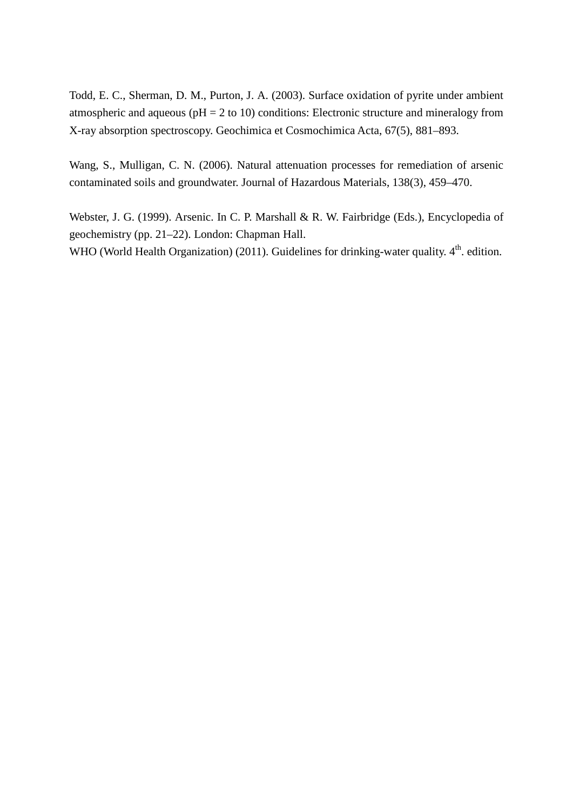Todd, E. C., Sherman, D. M., Purton, J. A. (2003). Surface oxidation of pyrite under ambient atmospheric and aqueous ( $pH = 2$  to 10) conditions: Electronic structure and mineralogy from X-ray absorption spectroscopy. Geochimica et Cosmochimica Acta, 67(5), 881–893.

Wang, S., Mulligan, C. N. (2006). Natural attenuation processes for remediation of arsenic contaminated soils and groundwater. Journal of Hazardous Materials, 138(3), 459–470.

Webster, J. G. (1999). Arsenic. In C. P. Marshall & R. W. Fairbridge (Eds.), Encyclopedia of geochemistry (pp. 21–22). London: Chapman Hall. WHO (World Health Organization) (2011). Guidelines for drinking-water quality. 4<sup>th</sup>. edition.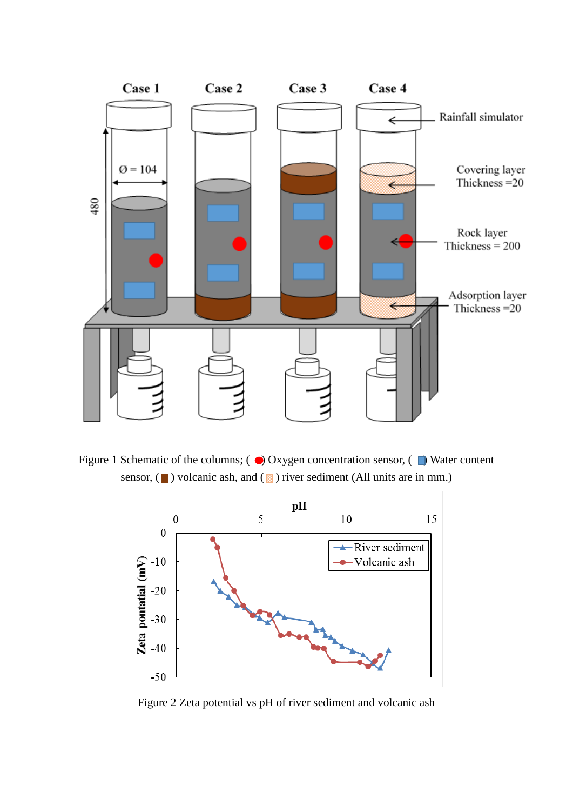

Figure 1 Schematic of the columns;  $\odot$  Oxygen concentration sensor,  $\odot$  Water content sensor,  $(\blacksquare)$  volcanic ash, and  $(\boxtimes)$  river sediment (All units are in mm.)



Figure 2 Zeta potential vs pH of river sediment and volcanic ash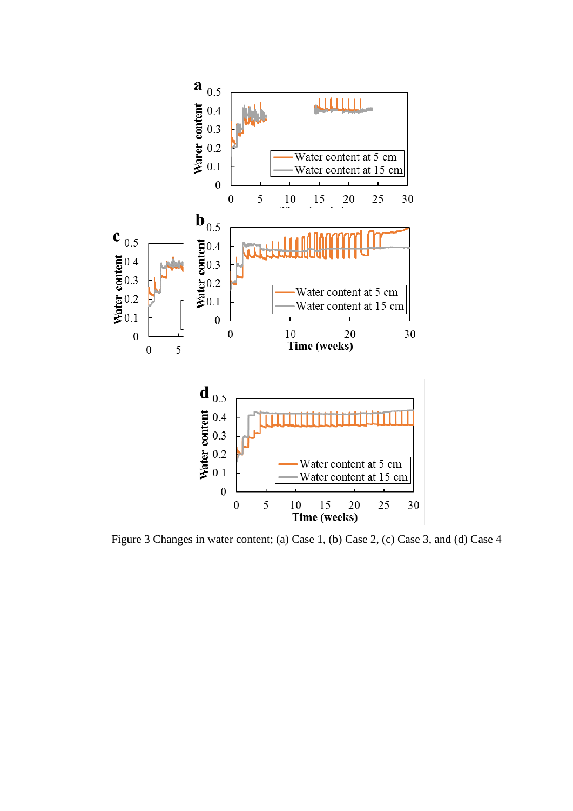

Figure 3 Changes in water content; (a) Case 1, (b) Case 2, (c) Case 3, and (d) Case 4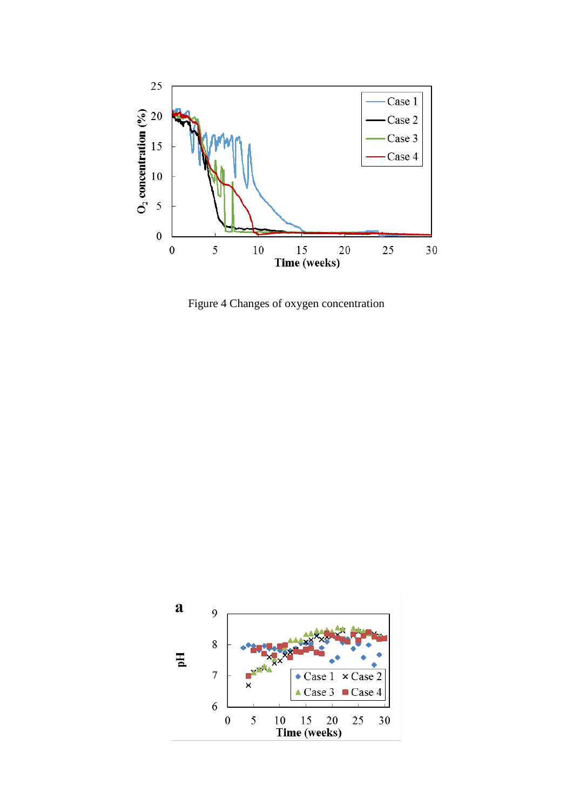

Figure 4 Changes of oxygen concentration

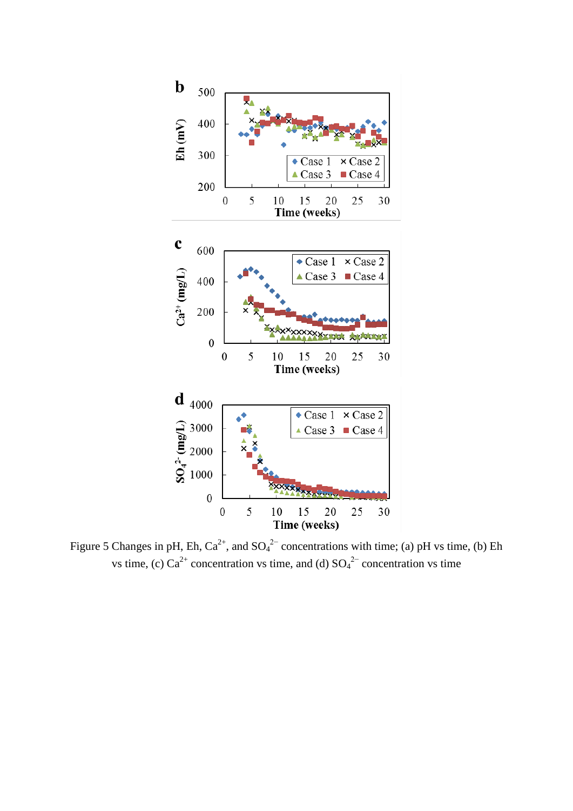

Figure 5 Changes in pH, Eh,  $Ca^{2+}$ , and  $SO_4^{2-}$  concentrations with time; (a) pH vs time, (b) Eh vs time, (c)  $Ca^{2+}$  concentration vs time, and (d)  $SO_4{}^{2-}$  concentration vs time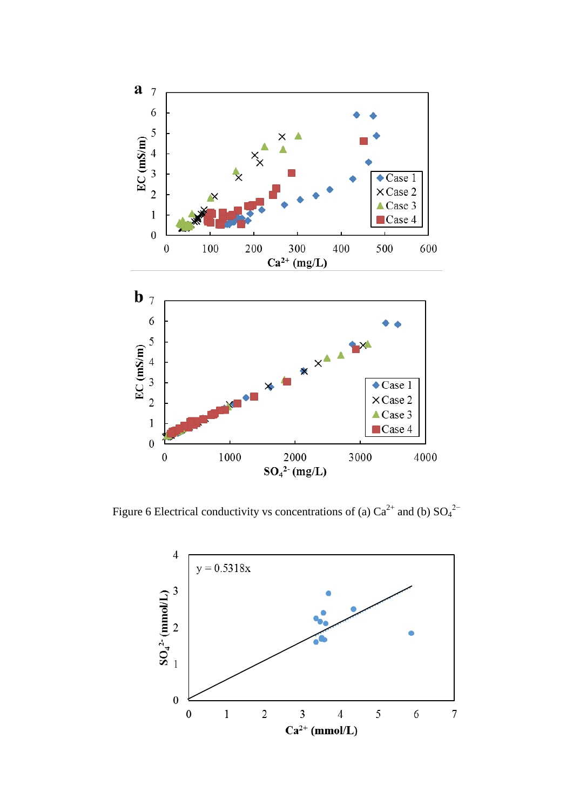

Figure 6 Electrical conductivity vs concentrations of (a)  $Ca^{2+}$  and (b)  $SO_4^{2-}$ 

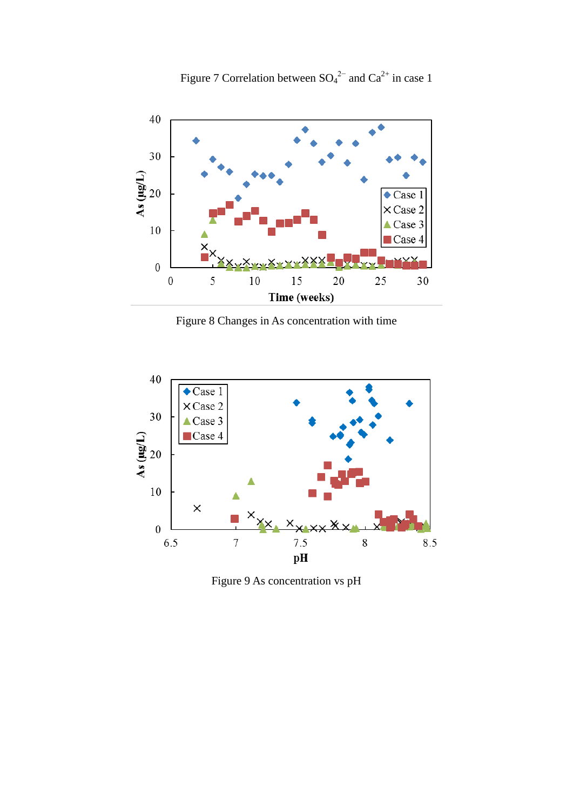

Figure 8 Changes in As concentration with time



Figure 9 As concentration vs pH

Figure 7 Correlation between  $SO_4^{2-}$  and  $Ca^{2+}$  in case 1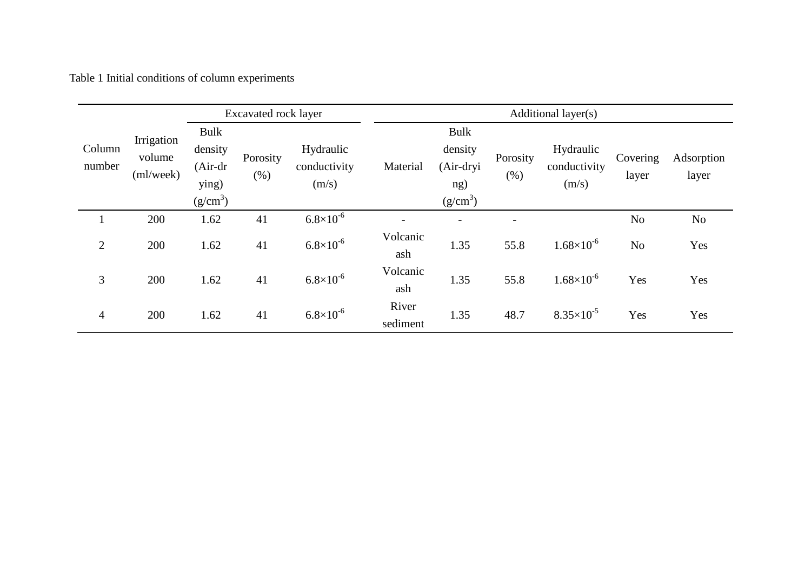Table 1 Initial conditions of column experiments

|                  |                                   | <b>Excavated rock layer</b>                          |                     |                                    | Additional layer(s) |                                                                    |                  |                                    |                   |                     |
|------------------|-----------------------------------|------------------------------------------------------|---------------------|------------------------------------|---------------------|--------------------------------------------------------------------|------------------|------------------------------------|-------------------|---------------------|
| Column<br>number | Irrigation<br>volume<br>(ml/week) | Bulk<br>density<br>$(Air-dr)$<br>ying)<br>$(g/cm^3)$ | Porosity<br>$(\% )$ | Hydraulic<br>conductivity<br>(m/s) | Material            | <b>Bulk</b><br>density<br>(Air-dryi<br>ng)<br>(g/cm <sup>3</sup> ) | Porosity<br>(% ) | Hydraulic<br>conductivity<br>(m/s) | Covering<br>layer | Adsorption<br>layer |
|                  | 200                               | 1.62                                                 | 41                  | $6.8 \times 10^{-6}$               |                     |                                                                    |                  |                                    | No                | No                  |
| $\overline{2}$   | 200                               | 1.62                                                 | 41                  | $6.8\times10^{5}$                  | Volcanic<br>ash     | 1.35                                                               | 55.8             | $1.68\times10^{-6}$                | No                | Yes                 |
| 3                | 200                               | 1.62                                                 | 41                  | $6.8\times10^{5}$                  | Volcanic<br>ash     | 1.35                                                               | 55.8             | $1.68\times10^{-6}$                | Yes               | Yes                 |
| $\overline{4}$   | 200                               | 1.62                                                 | 41                  | $6.8\times10^{-6}$                 | River<br>sediment   | 1.35                                                               | 48.7             | $8.35 \times 10^{-5}$              | Yes               | Yes                 |